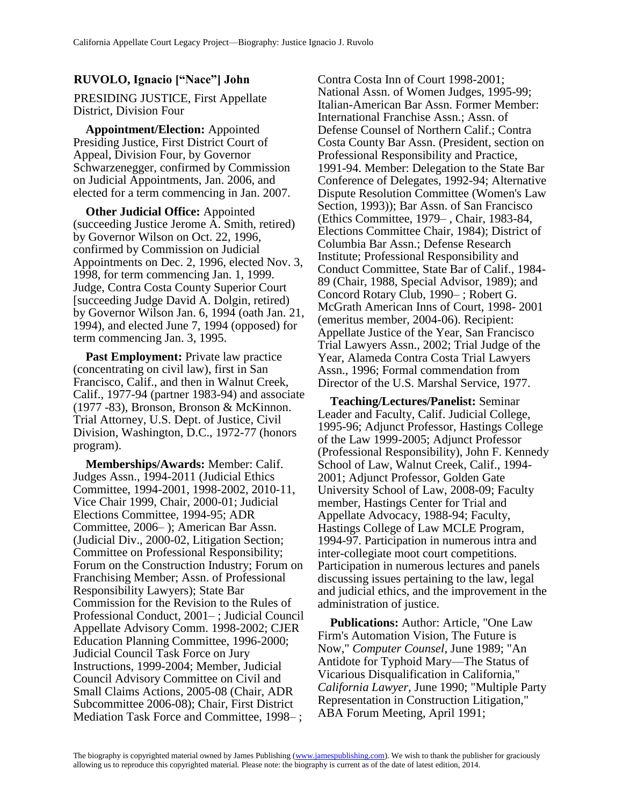## **RUVOLO, Ignacio ["Nace"] John**

PRESIDING JUSTICE, First Appellate District, Division Four

**Appointment/Election:** Appointed Presiding Justice, First District Court of Appeal, Division Four, by Governor Schwarzenegger, confirmed by Commission on Judicial Appointments, Jan. 2006, and elected for a term commencing in Jan. 2007.

**Other Judicial Office:** Appointed (succeeding Justice Jerome A. Smith, retired) by Governor Wilson on Oct. 22, 1996, confirmed by Commission on Judicial Appointments on Dec. 2, 1996, elected Nov. 3, 1998, for term commencing Jan. 1, 1999. Judge, Contra Costa County Superior Court [succeeding Judge David A. Dolgin, retired) by Governor Wilson Jan. 6, 1994 (oath Jan. 21, 1994), and elected June 7, 1994 (opposed) for term commencing Jan. 3, 1995.

**Past Employment:** Private law practice (concentrating on civil law), first in San Francisco, Calif., and then in Walnut Creek, Calif., 1977-94 (partner 1983-94) and associate (1977 -83), Bronson, Bronson & McKinnon. Trial Attorney, U.S. Dept. of Justice, Civil Division, Washington, D.C., 1972-77 (honors program).

**Memberships/Awards:** Member: Calif. Judges Assn., 1994-2011 (Judicial Ethics Committee, 1994-2001, 1998-2002, 2010-11, Vice Chair 1999, Chair, 2000-01; Judicial Elections Committee, 1994-95; ADR Committee, 2006– ); American Bar Assn. (Judicial Div., 2000-02, Litigation Section; Committee on Professional Responsibility; Forum on the Construction Industry; Forum on Franchising Member; Assn. of Professional Responsibility Lawyers); State Bar Commission for the Revision to the Rules of Professional Conduct, 2001– ; Judicial Council Appellate Advisory Comm. 1998-2002; CJER Education Planning Committee, 1996-2000; Judicial Council Task Force on Jury Instructions, 1999-2004; Member, Judicial Council Advisory Committee on Civil and Small Claims Actions, 2005-08 (Chair, ADR Subcommittee 2006-08); Chair, First District Mediation Task Force and Committee, 1998– ;

Contra Costa Inn of Court 1998-2001; National Assn. of Women Judges, 1995-99; Italian-American Bar Assn. Former Member: International Franchise Assn.; Assn. of Defense Counsel of Northern Calif.; Contra Costa County Bar Assn. (President, section on Professional Responsibility and Practice, 1991-94. Member: Delegation to the State Bar Conference of Delegates, 1992-94; Alternative Dispute Resolution Committee (Women's Law Section, 1993)); Bar Assn. of San Francisco (Ethics Committee, 1979– , Chair, 1983-84, Elections Committee Chair, 1984); District of Columbia Bar Assn.; Defense Research Institute; Professional Responsibility and Conduct Committee, State Bar of Calif., 1984- 89 (Chair, 1988, Special Advisor, 1989); and Concord Rotary Club, 1990– ; Robert G. McGrath American Inns of Court, 1998- 2001 (emeritus member, 2004-06). Recipient: Appellate Justice of the Year, San Francisco Trial Lawyers Assn., 2002; Trial Judge of the Year, Alameda Contra Costa Trial Lawyers Assn., 1996; Formal commendation from Director of the U.S. Marshal Service, 1977.

**Teaching/Lectures/Panelist:** Seminar Leader and Faculty, Calif. Judicial College, 1995-96; Adjunct Professor, Hastings College of the Law 1999-2005; Adjunct Professor (Professional Responsibility), John F. Kennedy School of Law, Walnut Creek, Calif., 1994- 2001; Adjunct Professor, Golden Gate University School of Law, 2008-09; Faculty member, Hastings Center for Trial and Appellate Advocacy, 1988-94; Faculty, Hastings College of Law MCLE Program, 1994-97. Participation in numerous intra and inter-collegiate moot court competitions. Participation in numerous lectures and panels discussing issues pertaining to the law, legal and judicial ethics, and the improvement in the administration of justice.

**Publications:** Author: Article, "One Law Firm's Automation Vision, The Future is Now," *Computer Counsel,* June 1989; "An Antidote for Typhoid Mary—The Status of Vicarious Disqualification in California," *California Lawyer,* June 1990; "Multiple Party Representation in Construction Litigation," ABA Forum Meeting, April 1991;